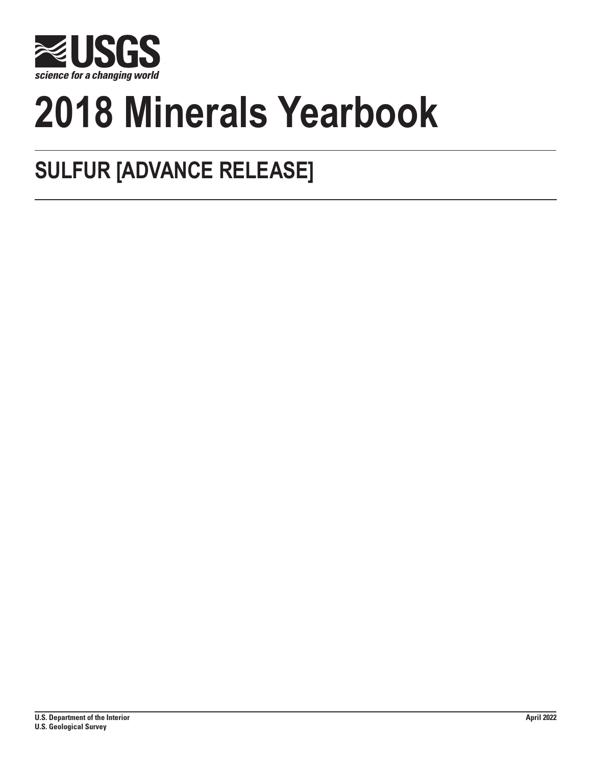

# **2018 Minerals Yearbook**

# **SULFUR [ADVANCE RELEASE]**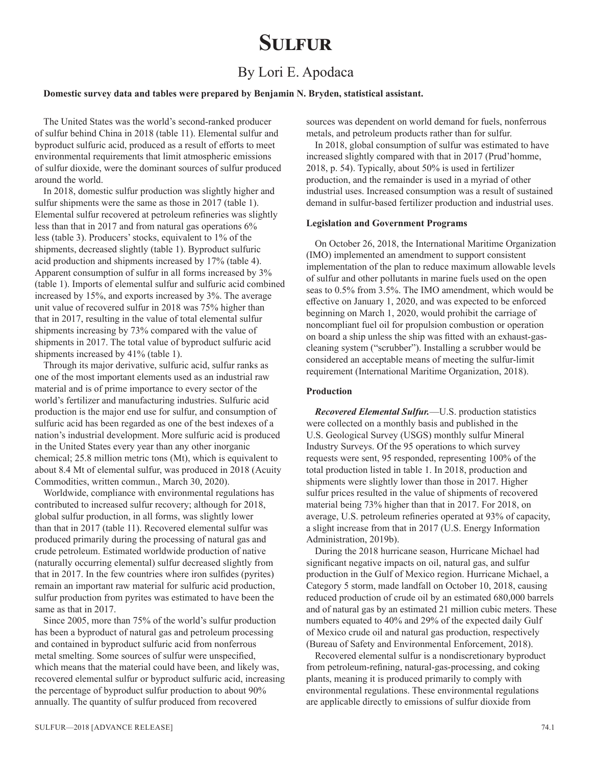## **Sulfur**

## By Lori E. Apodaca

#### **Domestic survey data and tables were prepared by Benjamin N. Bryden, statistical assistant.**

The United States was the world's second-ranked producer of sulfur behind China in 2018 (table 11). Elemental sulfur and byproduct sulfuric acid, produced as a result of efforts to meet environmental requirements that limit atmospheric emissions of sulfur dioxide, were the dominant sources of sulfur produced around the world.

In 2018, domestic sulfur production was slightly higher and sulfur shipments were the same as those in 2017 (table 1). Elemental sulfur recovered at petroleum refineries was slightly less than that in 2017 and from natural gas operations 6% less (table 3). Producers' stocks, equivalent to 1% of the shipments, decreased slightly (table 1). Byproduct sulfuric acid production and shipments increased by 17% (table 4). Apparent consumption of sulfur in all forms increased by 3% (table 1). Imports of elemental sulfur and sulfuric acid combined increased by 15%, and exports increased by 3%. The average unit value of recovered sulfur in 2018 was 75% higher than that in 2017, resulting in the value of total elemental sulfur shipments increasing by 73% compared with the value of shipments in 2017. The total value of byproduct sulfuric acid shipments increased by 41% (table 1).

Through its major derivative, sulfuric acid, sulfur ranks as one of the most important elements used as an industrial raw material and is of prime importance to every sector of the world's fertilizer and manufacturing industries. Sulfuric acid production is the major end use for sulfur, and consumption of sulfuric acid has been regarded as one of the best indexes of a nation's industrial development. More sulfuric acid is produced in the United States every year than any other inorganic chemical; 25.8 million metric tons (Mt), which is equivalent to about 8.4 Mt of elemental sulfur, was produced in 2018 (Acuity Commodities, written commun., March 30, 2020).

Worldwide, compliance with environmental regulations has contributed to increased sulfur recovery; although for 2018, global sulfur production, in all forms, was slightly lower than that in 2017 (table 11). Recovered elemental sulfur was produced primarily during the processing of natural gas and crude petroleum. Estimated worldwide production of native (naturally occurring elemental) sulfur decreased slightly from that in 2017. In the few countries where iron sulfides (pyrites) remain an important raw material for sulfuric acid production, sulfur production from pyrites was estimated to have been the same as that in 2017.

Since 2005, more than 75% of the world's sulfur production has been a byproduct of natural gas and petroleum processing and contained in byproduct sulfuric acid from nonferrous metal smelting. Some sources of sulfur were unspecified, which means that the material could have been, and likely was, recovered elemental sulfur or byproduct sulfuric acid, increasing the percentage of byproduct sulfur production to about 90% annually. The quantity of sulfur produced from recovered

sources was dependent on world demand for fuels, nonferrous metals, and petroleum products rather than for sulfur.

In 2018, global consumption of sulfur was estimated to have increased slightly compared with that in 2017 (Prud'homme, 2018, p. 54). Typically, about 50% is used in fertilizer production, and the remainder is used in a myriad of other industrial uses. Increased consumption was a result of sustained demand in sulfur-based fertilizer production and industrial uses.

#### **Legislation and Government Programs**

On October 26, 2018, the International Maritime Organization (IMO) implemented an amendment to support consistent implementation of the plan to reduce maximum allowable levels of sulfur and other pollutants in marine fuels used on the open seas to 0.5% from 3.5%. The IMO amendment, which would be effective on January 1, 2020, and was expected to be enforced beginning on March 1, 2020, would prohibit the carriage of noncompliant fuel oil for propulsion combustion or operation on board a ship unless the ship was fitted with an exhaust-gascleaning system ("scrubber"). Installing a scrubber would be considered an acceptable means of meeting the sulfur-limit requirement (International Maritime Organization, 2018).

#### **Production**

*Recovered Elemental Sulfur.*—U.S. production statistics were collected on a monthly basis and published in the U.S. Geological Survey (USGS) monthly sulfur Mineral Industry Surveys. Of the 95 operations to which survey requests were sent, 95 responded, representing 100% of the total production listed in table 1. In 2018, production and shipments were slightly lower than those in 2017. Higher sulfur prices resulted in the value of shipments of recovered material being 73% higher than that in 2017. For 2018, on average, U.S. petroleum refineries operated at 93% of capacity, a slight increase from that in 2017 (U.S. Energy Information Administration, 2019b).

During the 2018 hurricane season, Hurricane Michael had significant negative impacts on oil, natural gas, and sulfur production in the Gulf of Mexico region. Hurricane Michael, a Category 5 storm, made landfall on October 10, 2018, causing reduced production of crude oil by an estimated 680,000 barrels and of natural gas by an estimated 21 million cubic meters. These numbers equated to 40% and 29% of the expected daily Gulf of Mexico crude oil and natural gas production, respectively (Bureau of Safety and Environmental Enforcement, 2018).

Recovered elemental sulfur is a nondiscretionary byproduct from petroleum-refining, natural-gas-processing, and coking plants, meaning it is produced primarily to comply with environmental regulations. These environmental regulations are applicable directly to emissions of sulfur dioxide from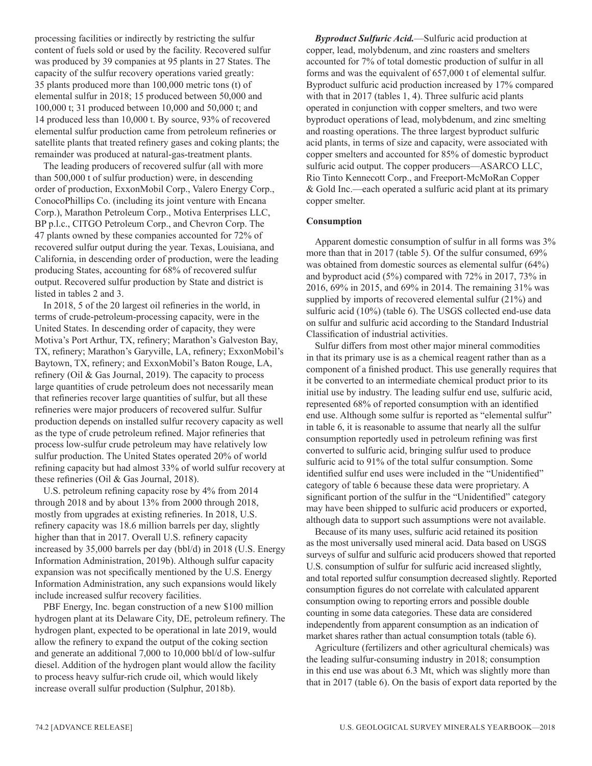processing facilities or indirectly by restricting the sulfur content of fuels sold or used by the facility. Recovered sulfur was produced by 39 companies at 95 plants in 27 States. The capacity of the sulfur recovery operations varied greatly: 35 plants produced more than 100,000 metric tons (t) of elemental sulfur in 2018; 15 produced between 50,000 and 100,000 t; 31 produced between 10,000 and 50,000 t; and 14 produced less than 10,000 t. By source, 93% of recovered elemental sulfur production came from petroleum refineries or satellite plants that treated refinery gases and coking plants; the remainder was produced at natural-gas-treatment plants.

The leading producers of recovered sulfur (all with more than 500,000 t of sulfur production) were, in descending order of production, ExxonMobil Corp., Valero Energy Corp., ConocoPhillips Co. (including its joint venture with Encana Corp.), Marathon Petroleum Corp., Motiva Enterprises LLC, BP p.l.c., CITGO Petroleum Corp., and Chevron Corp. The 47 plants owned by these companies accounted for 72% of recovered sulfur output during the year. Texas, Louisiana, and California, in descending order of production, were the leading producing States, accounting for 68% of recovered sulfur output. Recovered sulfur production by State and district is listed in tables 2 and 3.

In 2018, 5 of the 20 largest oil refineries in the world, in terms of crude-petroleum-processing capacity, were in the United States. In descending order of capacity, they were Motiva's Port Arthur, TX, refinery; Marathon's Galveston Bay, TX, refinery; Marathon's Garyville, LA, refinery; ExxonMobil's Baytown, TX, refinery; and ExxonMobil's Baton Rouge, LA, refinery (Oil & Gas Journal, 2019). The capacity to process large quantities of crude petroleum does not necessarily mean that refineries recover large quantities of sulfur, but all these refineries were major producers of recovered sulfur. Sulfur production depends on installed sulfur recovery capacity as well as the type of crude petroleum refined. Major refineries that process low-sulfur crude petroleum may have relatively low sulfur production. The United States operated 20% of world refining capacity but had almost 33% of world sulfur recovery at these refineries (Oil & Gas Journal, 2018).

U.S. petroleum refining capacity rose by 4% from 2014 through 2018 and by about 13% from 2000 through 2018, mostly from upgrades at existing refineries. In 2018, U.S. refinery capacity was 18.6 million barrels per day, slightly higher than that in 2017. Overall U.S. refinery capacity increased by 35,000 barrels per day (bbl/d) in 2018 (U.S. Energy Information Administration, 2019b). Although sulfur capacity expansion was not specifically mentioned by the U.S. Energy Information Administration, any such expansions would likely include increased sulfur recovery facilities.

PBF Energy, Inc. began construction of a new \$100 million hydrogen plant at its Delaware City, DE, petroleum refinery. The hydrogen plant, expected to be operational in late 2019, would allow the refinery to expand the output of the coking section and generate an additional 7,000 to 10,000 bbl/d of low-sulfur diesel. Addition of the hydrogen plant would allow the facility to process heavy sulfur-rich crude oil, which would likely increase overall sulfur production (Sulphur, 2018b).

*Byproduct Sulfuric Acid.*—Sulfuric acid production at copper, lead, molybdenum, and zinc roasters and smelters accounted for 7% of total domestic production of sulfur in all forms and was the equivalent of 657,000 t of elemental sulfur. Byproduct sulfuric acid production increased by 17% compared with that in 2017 (tables 1, 4). Three sulfuric acid plants operated in conjunction with copper smelters, and two were byproduct operations of lead, molybdenum, and zinc smelting and roasting operations. The three largest byproduct sulfuric acid plants, in terms of size and capacity, were associated with copper smelters and accounted for 85% of domestic byproduct sulfuric acid output. The copper producers—ASARCO LLC, Rio Tinto Kennecott Corp., and Freeport-McMoRan Copper & Gold Inc.—each operated a sulfuric acid plant at its primary copper smelter.

#### **Consumption**

Apparent domestic consumption of sulfur in all forms was 3% more than that in 2017 (table 5). Of the sulfur consumed, 69% was obtained from domestic sources as elemental sulfur (64%) and byproduct acid (5%) compared with 72% in 2017, 73% in 2016, 69% in 2015, and 69% in 2014. The remaining 31% was supplied by imports of recovered elemental sulfur (21%) and sulfuric acid (10%) (table 6). The USGS collected end-use data on sulfur and sulfuric acid according to the Standard Industrial Classification of industrial activities.

Sulfur differs from most other major mineral commodities in that its primary use is as a chemical reagent rather than as a component of a finished product. This use generally requires that it be converted to an intermediate chemical product prior to its initial use by industry. The leading sulfur end use, sulfuric acid, represented 68% of reported consumption with an identified end use. Although some sulfur is reported as "elemental sulfur" in table 6, it is reasonable to assume that nearly all the sulfur consumption reportedly used in petroleum refining was first converted to sulfuric acid, bringing sulfur used to produce sulfuric acid to 91% of the total sulfur consumption. Some identified sulfur end uses were included in the "Unidentified" category of table 6 because these data were proprietary. A significant portion of the sulfur in the "Unidentified" category may have been shipped to sulfuric acid producers or exported, although data to support such assumptions were not available.

Because of its many uses, sulfuric acid retained its position as the most universally used mineral acid. Data based on USGS surveys of sulfur and sulfuric acid producers showed that reported U.S. consumption of sulfur for sulfuric acid increased slightly, and total reported sulfur consumption decreased slightly. Reported consumption figures do not correlate with calculated apparent consumption owing to reporting errors and possible double counting in some data categories. These data are considered independently from apparent consumption as an indication of market shares rather than actual consumption totals (table 6).

Agriculture (fertilizers and other agricultural chemicals) was the leading sulfur-consuming industry in 2018; consumption in this end use was about 6.3 Mt, which was slightly more than that in 2017 (table 6). On the basis of export data reported by the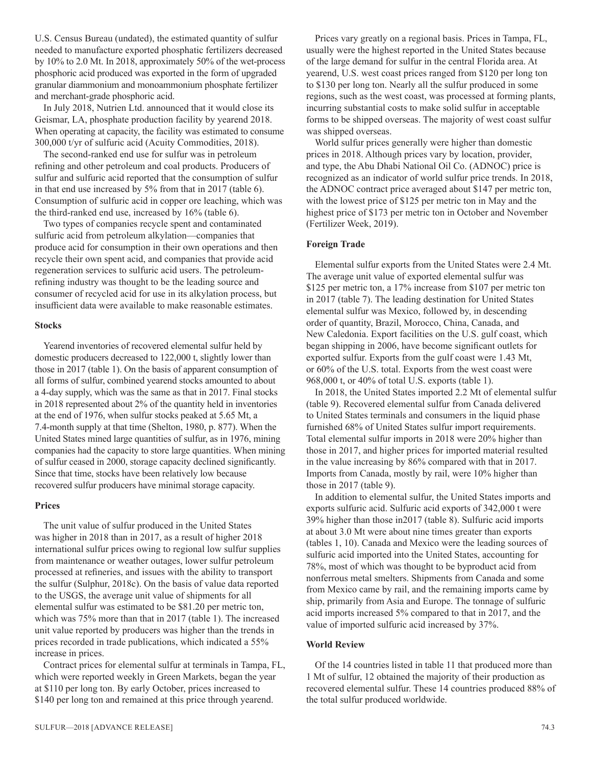U.S. Census Bureau (undated), the estimated quantity of sulfur needed to manufacture exported phosphatic fertilizers decreased by 10% to 2.0 Mt. In 2018, approximately 50% of the wet-process phosphoric acid produced was exported in the form of upgraded granular diammonium and monoammonium phosphate fertilizer and merchant-grade phosphoric acid.

In July 2018, Nutrien Ltd. announced that it would close its Geismar, LA, phosphate production facility by yearend 2018. When operating at capacity, the facility was estimated to consume 300,000 t/yr of sulfuric acid (Acuity Commodities, 2018).

The second-ranked end use for sulfur was in petroleum refining and other petroleum and coal products. Producers of sulfur and sulfuric acid reported that the consumption of sulfur in that end use increased by 5% from that in 2017 (table 6). Consumption of sulfuric acid in copper ore leaching, which was the third-ranked end use, increased by 16% (table 6).

Two types of companies recycle spent and contaminated sulfuric acid from petroleum alkylation—companies that produce acid for consumption in their own operations and then recycle their own spent acid, and companies that provide acid regeneration services to sulfuric acid users. The petroleumrefining industry was thought to be the leading source and consumer of recycled acid for use in its alkylation process, but insufficient data were available to make reasonable estimates.

#### **Stocks**

Yearend inventories of recovered elemental sulfur held by domestic producers decreased to 122,000 t, slightly lower than those in 2017 (table 1). On the basis of apparent consumption of all forms of sulfur, combined yearend stocks amounted to about a 4-day supply, which was the same as that in 2017. Final stocks in 2018 represented about 2% of the quantity held in inventories at the end of 1976, when sulfur stocks peaked at 5.65 Mt, a 7.4-month supply at that time (Shelton, 1980, p. 877). When the United States mined large quantities of sulfur, as in 1976, mining companies had the capacity to store large quantities. When mining of sulfur ceased in 2000, storage capacity declined significantly. Since that time, stocks have been relatively low because recovered sulfur producers have minimal storage capacity.

#### **Prices**

The unit value of sulfur produced in the United States was higher in 2018 than in 2017, as a result of higher 2018 international sulfur prices owing to regional low sulfur supplies from maintenance or weather outages, lower sulfur petroleum processed at refineries, and issues with the ability to transport the sulfur (Sulphur, 2018c). On the basis of value data reported to the USGS, the average unit value of shipments for all elemental sulfur was estimated to be \$81.20 per metric ton, which was 75% more than that in 2017 (table 1). The increased unit value reported by producers was higher than the trends in prices recorded in trade publications, which indicated a 55% increase in prices.

Contract prices for elemental sulfur at terminals in Tampa, FL, which were reported weekly in Green Markets, began the year at \$110 per long ton. By early October, prices increased to \$140 per long ton and remained at this price through yearend.

Prices vary greatly on a regional basis. Prices in Tampa, FL, usually were the highest reported in the United States because of the large demand for sulfur in the central Florida area. At yearend, U.S. west coast prices ranged from \$120 per long ton to \$130 per long ton. Nearly all the sulfur produced in some regions, such as the west coast, was processed at forming plants, incurring substantial costs to make solid sulfur in acceptable forms to be shipped overseas. The majority of west coast sulfur was shipped overseas.

World sulfur prices generally were higher than domestic prices in 2018. Although prices vary by location, provider, and type, the Abu Dhabi National Oil Co. (ADNOC) price is recognized as an indicator of world sulfur price trends. In 2018, the ADNOC contract price averaged about \$147 per metric ton, with the lowest price of \$125 per metric ton in May and the highest price of \$173 per metric ton in October and November (Fertilizer Week, 2019).

#### **Foreign Trade**

Elemental sulfur exports from the United States were 2.4 Mt. The average unit value of exported elemental sulfur was \$125 per metric ton, a 17% increase from \$107 per metric ton in 2017 (table 7). The leading destination for United States elemental sulfur was Mexico, followed by, in descending order of quantity, Brazil, Morocco, China, Canada, and New Caledonia. Export facilities on the U.S. gulf coast, which began shipping in 2006, have become significant outlets for exported sulfur. Exports from the gulf coast were 1.43 Mt, or 60% of the U.S. total. Exports from the west coast were 968,000 t, or 40% of total U.S. exports (table 1).

In 2018, the United States imported 2.2 Mt of elemental sulfur (table 9). Recovered elemental sulfur from Canada delivered to United States terminals and consumers in the liquid phase furnished 68% of United States sulfur import requirements. Total elemental sulfur imports in 2018 were 20% higher than those in 2017, and higher prices for imported material resulted in the value increasing by 86% compared with that in 2017. Imports from Canada, mostly by rail, were 10% higher than those in 2017 (table 9).

In addition to elemental sulfur, the United States imports and exports sulfuric acid. Sulfuric acid exports of 342,000 t were 39% higher than those in2017 (table 8). Sulfuric acid imports at about 3.0 Mt were about nine times greater than exports (tables 1, 10). Canada and Mexico were the leading sources of sulfuric acid imported into the United States, accounting for 78%, most of which was thought to be byproduct acid from nonferrous metal smelters. Shipments from Canada and some from Mexico came by rail, and the remaining imports came by ship, primarily from Asia and Europe. The tonnage of sulfuric acid imports increased 5% compared to that in 2017, and the value of imported sulfuric acid increased by 37%.

#### **World Review**

Of the 14 countries listed in table 11 that produced more than 1 Mt of sulfur, 12 obtained the majority of their production as recovered elemental sulfur. These 14 countries produced 88% of the total sulfur produced worldwide.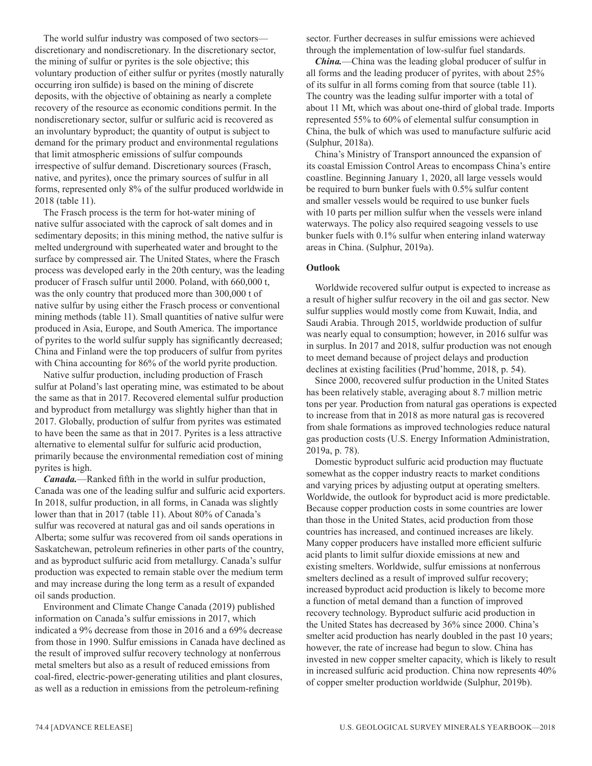The world sulfur industry was composed of two sectors discretionary and nondiscretionary. In the discretionary sector, the mining of sulfur or pyrites is the sole objective; this voluntary production of either sulfur or pyrites (mostly naturally occurring iron sulfide) is based on the mining of discrete deposits, with the objective of obtaining as nearly a complete recovery of the resource as economic conditions permit. In the nondiscretionary sector, sulfur or sulfuric acid is recovered as an involuntary byproduct; the quantity of output is subject to demand for the primary product and environmental regulations that limit atmospheric emissions of sulfur compounds irrespective of sulfur demand. Discretionary sources (Frasch, native, and pyrites), once the primary sources of sulfur in all forms, represented only 8% of the sulfur produced worldwide in 2018 (table 11).

The Frasch process is the term for hot-water mining of native sulfur associated with the caprock of salt domes and in sedimentary deposits; in this mining method, the native sulfur is melted underground with superheated water and brought to the surface by compressed air. The United States, where the Frasch process was developed early in the 20th century, was the leading producer of Frasch sulfur until 2000. Poland, with 660,000 t, was the only country that produced more than 300,000 t of native sulfur by using either the Frasch process or conventional mining methods (table 11). Small quantities of native sulfur were produced in Asia, Europe, and South America. The importance of pyrites to the world sulfur supply has significantly decreased; China and Finland were the top producers of sulfur from pyrites with China accounting for 86% of the world pyrite production.

Native sulfur production, including production of Frasch sulfur at Poland's last operating mine, was estimated to be about the same as that in 2017. Recovered elemental sulfur production and byproduct from metallurgy was slightly higher than that in 2017. Globally, production of sulfur from pyrites was estimated to have been the same as that in 2017. Pyrites is a less attractive alternative to elemental sulfur for sulfuric acid production, primarily because the environmental remediation cost of mining pyrites is high.

*Canada.*—Ranked fifth in the world in sulfur production, Canada was one of the leading sulfur and sulfuric acid exporters. In 2018, sulfur production, in all forms, in Canada was slightly lower than that in 2017 (table 11). About 80% of Canada's sulfur was recovered at natural gas and oil sands operations in Alberta; some sulfur was recovered from oil sands operations in Saskatchewan, petroleum refineries in other parts of the country, and as byproduct sulfuric acid from metallurgy. Canada's sulfur production was expected to remain stable over the medium term and may increase during the long term as a result of expanded oil sands production.

Environment and Climate Change Canada (2019) published information on Canada's sulfur emissions in 2017, which indicated a 9% decrease from those in 2016 and a 69% decrease from those in 1990. Sulfur emissions in Canada have declined as the result of improved sulfur recovery technology at nonferrous metal smelters but also as a result of reduced emissions from coal-fired, electric-power-generating utilities and plant closures, as well as a reduction in emissions from the petroleum-refining

sector. Further decreases in sulfur emissions were achieved through the implementation of low-sulfur fuel standards.

*China.*—China was the leading global producer of sulfur in all forms and the leading producer of pyrites, with about 25% of its sulfur in all forms coming from that source (table 11). The country was the leading sulfur importer with a total of about 11 Mt, which was about one-third of global trade. Imports represented 55% to 60% of elemental sulfur consumption in China, the bulk of which was used to manufacture sulfuric acid (Sulphur, 2018a).

China's Ministry of Transport announced the expansion of its coastal Emission Control Areas to encompass China's entire coastline. Beginning January 1, 2020, all large vessels would be required to burn bunker fuels with 0.5% sulfur content and smaller vessels would be required to use bunker fuels with 10 parts per million sulfur when the vessels were inland waterways. The policy also required seagoing vessels to use bunker fuels with 0.1% sulfur when entering inland waterway areas in China. (Sulphur, 2019a).

#### **Outlook**

Worldwide recovered sulfur output is expected to increase as a result of higher sulfur recovery in the oil and gas sector. New sulfur supplies would mostly come from Kuwait, India, and Saudi Arabia. Through 2015, worldwide production of sulfur was nearly equal to consumption; however, in 2016 sulfur was in surplus. In 2017 and 2018, sulfur production was not enough to meet demand because of project delays and production declines at existing facilities (Prud'homme, 2018, p. 54).

Since 2000, recovered sulfur production in the United States has been relatively stable, averaging about 8.7 million metric tons per year. Production from natural gas operations is expected to increase from that in 2018 as more natural gas is recovered from shale formations as improved technologies reduce natural gas production costs (U.S. Energy Information Administration, 2019a, p. 78).

Domestic byproduct sulfuric acid production may fluctuate somewhat as the copper industry reacts to market conditions and varying prices by adjusting output at operating smelters. Worldwide, the outlook for byproduct acid is more predictable. Because copper production costs in some countries are lower than those in the United States, acid production from those countries has increased, and continued increases are likely. Many copper producers have installed more efficient sulfuric acid plants to limit sulfur dioxide emissions at new and existing smelters. Worldwide, sulfur emissions at nonferrous smelters declined as a result of improved sulfur recovery; increased byproduct acid production is likely to become more a function of metal demand than a function of improved recovery technology. Byproduct sulfuric acid production in the United States has decreased by 36% since 2000. China's smelter acid production has nearly doubled in the past 10 years; however, the rate of increase had begun to slow. China has invested in new copper smelter capacity, which is likely to result in increased sulfuric acid production. China now represents 40% of copper smelter production worldwide (Sulphur, 2019b).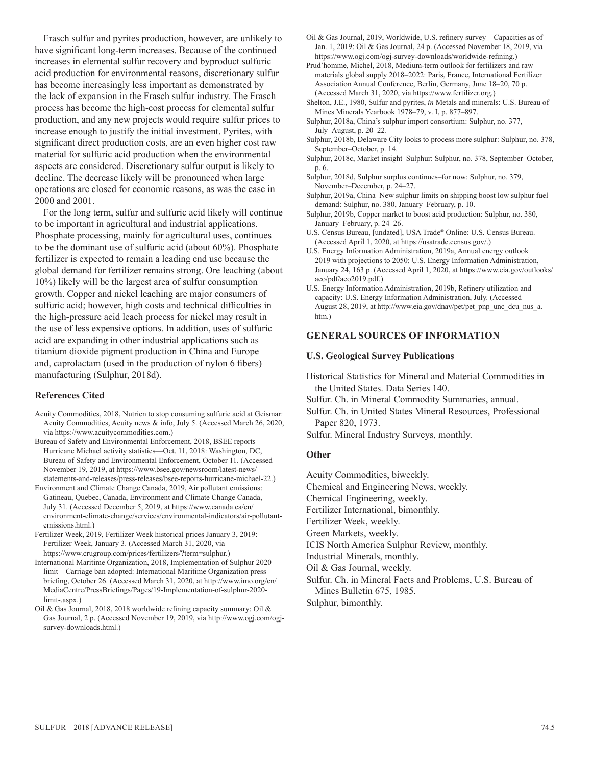Frasch sulfur and pyrites production, however, are unlikely to have significant long-term increases. Because of the continued increases in elemental sulfur recovery and byproduct sulfuric acid production for environmental reasons, discretionary sulfur has become increasingly less important as demonstrated by the lack of expansion in the Frasch sulfur industry. The Frasch process has become the high-cost process for elemental sulfur production, and any new projects would require sulfur prices to increase enough to justify the initial investment. Pyrites, with significant direct production costs, are an even higher cost raw material for sulfuric acid production when the environmental aspects are considered. Discretionary sulfur output is likely to decline. The decrease likely will be pronounced when large operations are closed for economic reasons, as was the case in 2000 and 2001.

For the long term, sulfur and sulfuric acid likely will continue to be important in agricultural and industrial applications. Phosphate processing, mainly for agricultural uses, continues to be the dominant use of sulfuric acid (about 60%). Phosphate fertilizer is expected to remain a leading end use because the global demand for fertilizer remains strong. Ore leaching (about 10%) likely will be the largest area of sulfur consumption growth. Copper and nickel leaching are major consumers of sulfuric acid; however, high costs and technical difficulties in the high-pressure acid leach process for nickel may result in the use of less expensive options. In addition, uses of sulfuric acid are expanding in other industrial applications such as titanium dioxide pigment production in China and Europe and, caprolactam (used in the production of nylon 6 fibers) manufacturing (Sulphur, 2018d).

#### **References Cited**

- Acuity Commodities, 2018, Nutrien to stop consuming sulfuric acid at Geismar: Acuity Commodities, Acuity news & info, July 5. (Accessed March 26, 2020, via https://www.acuitycommodities.com.)
- Bureau of Safety and Environmental Enforcement, 2018, BSEE reports Hurricane Michael activity statistics—Oct. 11, 2018: Washington, DC, Bureau of Safety and Environmental Enforcement, October 11. (Accessed November 19, 2019, at https://www.bsee.gov/newsroom/latest-news/ statements-and-releases/press-releases/bsee-reports-hurricane-michael-22.)
- Environment and Climate Change Canada, 2019, Air pollutant emissions: Gatineau, Quebec, Canada, Environment and Climate Change Canada, July 31. (Accessed December 5, 2019, at https://www.canada.ca/en/ environment-climate-change/services/environmental-indicators/air-pollutantemissions.html.)
- Fertilizer Week, 2019, Fertilizer Week historical prices January 3, 2019: Fertilizer Week, January 3. (Accessed March 31, 2020, via https://www.crugroup.com/prices/fertilizers/?term=sulphur.)
- International Maritime Organization, 2018, Implementation of Sulphur 2020 limit—Carriage ban adopted: International Maritime Organization press briefing, October 26. (Accessed March 31, 2020, at http://www.imo.org/en/ MediaCentre/PressBriefings/Pages/19-Implementation-of-sulphur-2020 limit-.aspx.)
- Oil & Gas Journal, 2018, 2018 worldwide refining capacity summary: Oil & Gas Journal, 2 p. (Accessed November 19, 2019, via http://www.ogj.com/ogjsurvey-downloads.html.)
- Oil & Gas Journal, 2019, Worldwide, U.S. refinery survey—Capacities as of Jan. 1, 2019: Oil & Gas Journal, 24 p. (Accessed November 18, 2019, via https://www.ogj.com/ogj-survey-downloads/worldwide-refining.)
- Prud'homme, Michel, 2018, Medium-term outlook for fertilizers and raw materials global supply 2018–2022: Paris, France, International Fertilizer Association Annual Conference, Berlin, Germany, June 18–20, 70 p. (Accessed March 31, 2020, via https://www.fertilizer.org.)
- Shelton, J.E., 1980, Sulfur and pyrites, *in* Metals and minerals: U.S. Bureau of Mines Minerals Yearbook 1978–79, v. I, p. 877–897.
- Sulphur, 2018a, China's sulphur import consortium: Sulphur, no. 377, July–August, p. 20–22.
- Sulphur, 2018b, Delaware City looks to process more sulphur: Sulphur, no. 378, September–October, p. 14.
- Sulphur, 2018c, Market insight–Sulphur: Sulphur, no. 378, September–October, p. 6.
- Sulphur, 2018d, Sulphur surplus continues–for now: Sulphur, no. 379, November–December, p. 24–27.
- Sulphur, 2019a, China–New sulphur limits on shipping boost low sulphur fuel demand: Sulphur, no. 380, January–February, p. 10.
- Sulphur, 2019b, Copper market to boost acid production: Sulphur, no. 380, January–February, p. 24–26.
- U.S. Census Bureau, [undated], USA Trade® Online: U.S. Census Bureau. (Accessed April 1, 2020, at https://usatrade.census.gov/.)
- U.S. Energy Information Administration, 2019a, Annual energy outlook 2019 with projections to 2050: U.S. Energy Information Administration, January 24, 163 p. (Accessed April 1, 2020, at https://www.eia.gov/outlooks/ aeo/pdf/aeo2019.pdf.)
- U.S. Energy Information Administration, 2019b, Refinery utilization and capacity: U.S. Energy Information Administration, July. (Accessed August 28, 2019, at [http://www.eia.gov/dnav/pet/pet\\_pnp\\_unc\\_dcu\\_nus\\_a.](http://www.eia.gov/dnav/pet/pet_pnp_unc_dcu_nus_a.htm) [htm](http://www.eia.gov/dnav/pet/pet_pnp_unc_dcu_nus_a.htm).)

#### **GENERAL SOURCES OF INFORMATION**

#### **U.S. Geological Survey Publications**

Historical Statistics for Mineral and Material Commodities in the United States. Data Series 140.

- Sulfur. Ch. in Mineral Commodity Summaries, annual.
- Sulfur. Ch. in United States Mineral Resources, Professional Paper 820, 1973.
- Sulfur. Mineral Industry Surveys, monthly.

#### **Other**

- Acuity Commodities, biweekly.
- Chemical and Engineering News, weekly.
- Chemical Engineering, weekly.
- Fertilizer International, bimonthly.
- Fertilizer Week, weekly.

Green Markets, weekly.

ICIS North America Sulphur Review, monthly.

Industrial Minerals, monthly.

Oil & Gas Journal, weekly.

Sulfur. Ch. in Mineral Facts and Problems, U.S. Bureau of Mines Bulletin 675, 1985.

Sulphur, bimonthly.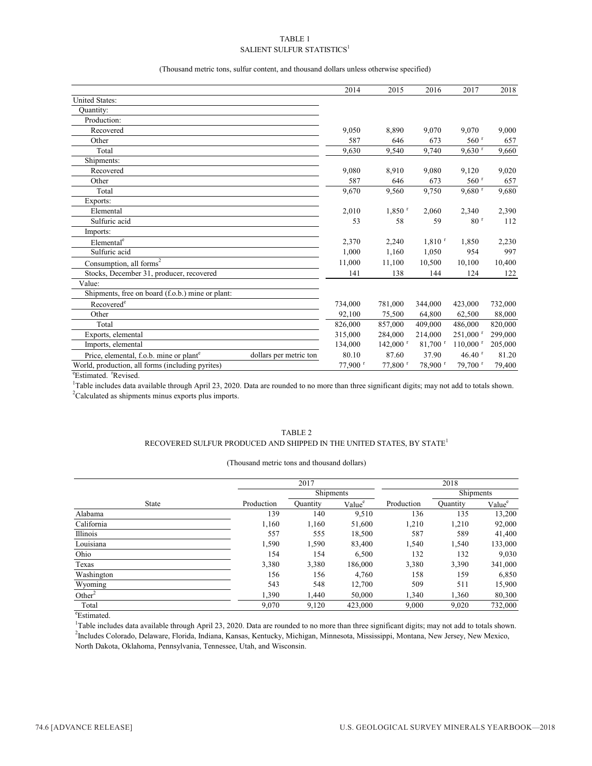#### TABLE 1 SALIENT SULFUR STATISTICS $^1$

(Thousand metric tons, sulfur content, and thousand dollars unless otherwise specified)

|                                                                               | 2014     | 2015                   | 2016                  | 2017                   | 2018    |
|-------------------------------------------------------------------------------|----------|------------------------|-----------------------|------------------------|---------|
| <b>United States:</b>                                                         |          |                        |                       |                        |         |
| Quantity:                                                                     |          |                        |                       |                        |         |
| Production:                                                                   |          |                        |                       |                        |         |
| Recovered                                                                     | 9,050    | 8,890                  | 9.070                 | 9.070                  | 9,000   |
| Other                                                                         | 587      | 646                    | 673                   | $560$ <sup>r</sup>     | 657     |
| Total                                                                         | 9,630    | 9,540                  | 9,740                 | $9,630$ <sup>r</sup>   | 9,660   |
| Shipments:                                                                    |          |                        |                       |                        |         |
| Recovered                                                                     | 9,080    | 8,910                  | 9.080                 | 9,120                  | 9,020   |
| Other                                                                         | 587      | 646                    | 673                   | $560$ <sup>r</sup>     | 657     |
| Total                                                                         | 9,670    | 9,560                  | 9,750                 | $9,680$ <sup>r</sup>   | 9,680   |
| Exports:                                                                      |          |                        |                       |                        |         |
| Elemental                                                                     | 2,010    | $1,850$ <sup>r</sup>   | 2,060                 | 2,340                  | 2,390   |
| Sulfuric acid                                                                 | 53       | 58                     | 59                    | 80 <sup>r</sup>        | 112     |
| Imports:                                                                      |          |                        |                       |                        |         |
| Elemental <sup>e</sup>                                                        | 2,370    | 2,240                  | $1,810$ <sup>r</sup>  | 1,850                  | 2,230   |
| Sulfuric acid                                                                 | 1,000    | 1,160                  | 1,050                 | 954                    | 997     |
| Consumption, all forms $2$                                                    | 11.000   | 11.100                 | 10.500                | 10.100                 | 10,400  |
| Stocks, December 31, producer, recovered                                      | 141      | 138                    | 144                   | 124                    | 122     |
| Value:                                                                        |          |                        |                       |                        |         |
| Shipments, free on board (f.o.b.) mine or plant:                              |          |                        |                       |                        |         |
| Recovered <sup>e</sup>                                                        | 734,000  | 781,000                | 344,000               | 423,000                | 732,000 |
| Other                                                                         | 92,100   | 75,500                 | 64,800                | 62,500                 | 88,000  |
| Total                                                                         | 826,000  | 857,000                | 409,000               | 486,000                | 820,000 |
| Exports, elemental                                                            | 315,000  | 284,000                | 214,000               | $251,000$ <sup>r</sup> | 299,000 |
| Imports, elemental                                                            | 134,000  | $142,000$ <sup>r</sup> | $81,700$ <sup>r</sup> | $110,000$ <sup>r</sup> | 205,000 |
| dollars per metric ton<br>Price, elemental, f.o.b. mine or plant <sup>e</sup> | 80.10    | 87.60                  | 37.90                 | $46.40$ <sup>r</sup>   | 81.20   |
| World, production, all forms (including pyrites)                              | 77,900 r | 77,800 r               | 78,900 r              | 79,700 r               | 79,400  |

eEstimated. <sup>r</sup>Revised.

 $2$ Calculated as shipments minus exports plus imports. <sup>1</sup>Table includes data available through April 23, 2020. Data are rounded to no more than three significant digits; may not add to totals shown.

#### TABLE 2 RECOVERED SULFUR PRODUCED AND SHIPPED IN THE UNITED STATES, BY STATE<sup>1</sup>

| (Thousand metric tons and thousand dollars) |  |  |  |  |
|---------------------------------------------|--|--|--|--|
|---------------------------------------------|--|--|--|--|

|                    |            | 2017<br>2018    |                    |            |           |                    |  |
|--------------------|------------|-----------------|--------------------|------------|-----------|--------------------|--|
|                    |            | Shipments       |                    |            | Shipments |                    |  |
| <b>State</b>       | Production | <b>Quantity</b> | Value <sup>e</sup> | Production | Quantity  | Value <sup>e</sup> |  |
| Alabama            | 139        | 140             | 9,510              | 136        | 135       | 13,200             |  |
| California         | 1,160      | 1,160           | 51,600             | 1,210      | 1,210     | 92,000             |  |
| Illinois           | 557        | 555             | 18,500             | 587        | 589       | 41,400             |  |
| Louisiana          | 1,590      | 1,590           | 83,400             | 1,540      | 1,540     | 133,000            |  |
| Ohio               | 154        | 154             | 6,500              | 132        | 132       | 9,030              |  |
| Texas              | 3,380      | 3,380           | 186,000            | 3,380      | 3,390     | 341,000            |  |
| Washington         | 156        | 156             | 4,760              | 158        | 159       | 6,850              |  |
| Wyoming            | 543        | 548             | 12,700             | 509        | 511       | 15,900             |  |
| Other <sup>2</sup> | 1,390      | 1,440           | 50,000             | 1,340      | 1,360     | 80,300             |  |
| Total              | 9,070      | 9,120           | 423,000            | 9,000      | 9,020     | 732,000            |  |

e Estimated.

<sup>1</sup>Table includes data available through April 23, 2020. Data are rounded to no more than three significant digits; may not add to totals shown. 2 Includes Colorado, Delaware, Florida, Indiana, Kansas, Kentucky, Michigan, Minnesota, Mississippi, Montana, New Jersey, New Mexico, North Dakota, Oklahoma, Pennsylvania, Tennessee, Utah, and Wisconsin.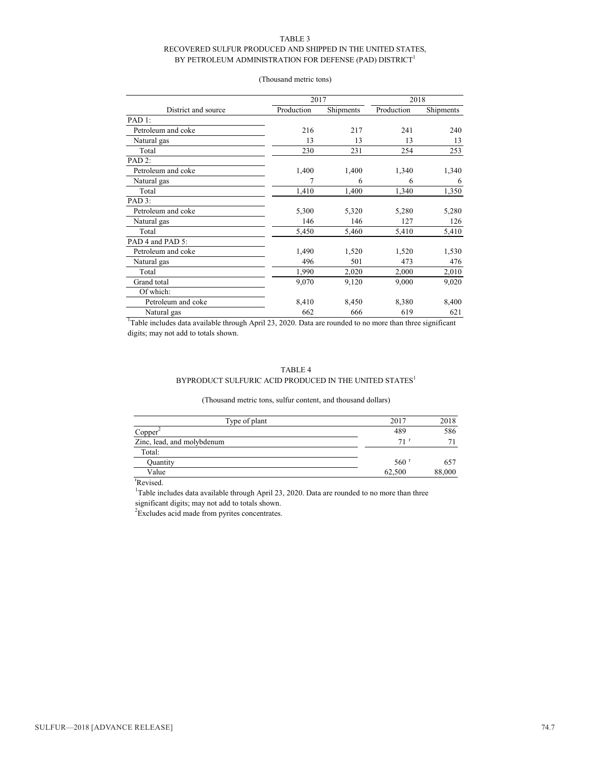#### TABLE 3 RECOVERED SULFUR PRODUCED AND SHIPPED IN THE UNITED STATES, BY PETROLEUM ADMINISTRATION FOR DEFENSE (PAD) DISTRICT<sup>1</sup>

| (Thousand metric tons) |  |
|------------------------|--|
|                        |  |

|                     | 2017       |           | 2018       |           |  |
|---------------------|------------|-----------|------------|-----------|--|
| District and source | Production | Shipments | Production | Shipments |  |
| PAD 1:              |            |           |            |           |  |
| Petroleum and coke  | 216        | 217       | 241        | 240       |  |
| Natural gas         | 13         | 13        | 13         | 13        |  |
| Total               | 230        | 231       | 254        | 253       |  |
| PAD <sub>2</sub> :  |            |           |            |           |  |
| Petroleum and coke  | 1,400      | 1,400     | 1,340      | 1,340     |  |
| Natural gas         |            | 6         | 6          | 6         |  |
| Total               | 1,410      | 1,400     | 1,340      | 1,350     |  |
| PAD 3:              |            |           |            |           |  |
| Petroleum and coke  | 5,300      | 5,320     | 5,280      | 5,280     |  |
| Natural gas         | 146        | 146       | 127        | 126       |  |
| Total               | 5,450      | 5,460     | 5,410      | 5,410     |  |
| PAD 4 and PAD 5:    |            |           |            |           |  |
| Petroleum and coke  | 1,490      | 1,520     | 1,520      | 1,530     |  |
| Natural gas         | 496        | 501       | 473        | 476       |  |
| Total               | 1,990      | 2,020     | 2,000      | 2,010     |  |
| Grand total         | 9,070      | 9,120     | 9,000      | 9,020     |  |
| Of which:           |            |           |            |           |  |
| Petroleum and coke  | 8,410      | 8,450     | 8,380      | 8,400     |  |
| Natural gas         | 662        | 666       | 619        | 621       |  |

<sup>1</sup>Table includes data available through April 23, 2020. Data are rounded to no more than three significant digits; may not add to totals shown.

#### TABLE 4

#### BYPRODUCT SULFURIC ACID PRODUCED IN THE UNITED STATES<sup>1</sup>

#### (Thousand metric tons, sulfur content, and thousand dollars)

| Type of plant              | 2017               | 2018   |
|----------------------------|--------------------|--------|
| Copper <sup>2</sup>        | 489                | 586    |
| Zinc, lead, and molybdenum | $71$ <sup>r</sup>  |        |
| Total:                     |                    |        |
| Quantity                   | $560$ <sup>r</sup> | 657    |
| Value                      | 62,500             | 88,000 |

r Revised.

<sup>1</sup>Table includes data available through April 23, 2020. Data are rounded to no more than three significant digits; may not add to totals shown.

 $2$ Excludes acid made from pyrites concentrates.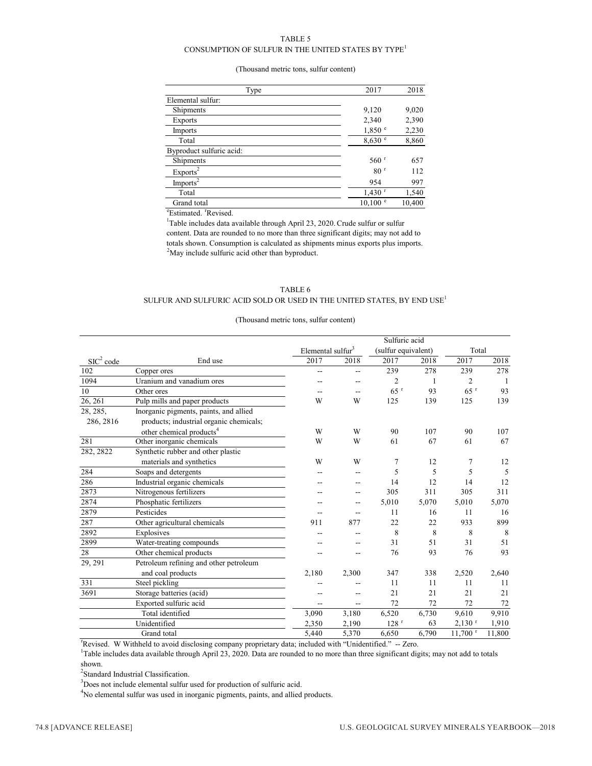#### TABLE 5

#### CONSUMPTION OF SULFUR IN THE UNITED STATES BY  $\mathsf{TYPE}^1$

#### (Thousand metric tons, sulfur content)

| Type                     | 2017                 | 2018   |
|--------------------------|----------------------|--------|
| Elemental sulfur:        |                      |        |
| Shipments                | 9,120                | 9,020  |
| Exports                  | 2,340                | 2,390  |
| Imports                  | 1,850 °              | 2,230  |
| Total                    | 8,630 °              | 8,860  |
| Byproduct sulfuric acid: |                      |        |
| Shipments                | $560$ <sup>r</sup>   | 657    |
| Exports <sup>2</sup>     | 80 <sup>r</sup>      | 112    |
| Imports <sup>2</sup>     | 954                  | 997    |
| Total                    | $1,430$ <sup>r</sup> | 1,540  |
| Grand total              | $10,100$ $\degree$   | 10,400 |

<sup>e</sup>Estimated. <sup>r</sup>Revised.

 $2^2$ May include sulfuric acid other than byproduct. <sup>1</sup>Table includes data available through April 23, 2020. Crude sulfur or sulfur content. Data are rounded to no more than three significant digits; may not add to totals shown. Consumption is calculated as shipments minus exports plus imports.

#### TABLE 6 SULFUR AND SULFURIC ACID SOLD OR USED IN THE UNITED STATES, BY END  $\mathrm{USE}^1$

#### (Thousand metric tons, sulfur content)

|                       |                                         | Sulfuric acid                 |       |                     |       |                       |        |  |
|-----------------------|-----------------------------------------|-------------------------------|-------|---------------------|-------|-----------------------|--------|--|
|                       |                                         | Elemental sulfur <sup>3</sup> |       | (sulfur equivalent) |       | Total                 |        |  |
| SIC <sup>2</sup> code | End use                                 | 2017                          | 2018  | 2017                | 2018  | 2017                  | 2018   |  |
| 102                   | Copper ores                             | $-$                           | $-$   | 239                 | 278   | 239                   | 278    |  |
| 1094                  | Uranium and vanadium ores               |                               |       | 2                   | 1     | $\overline{2}$        | -1     |  |
| 10                    | Other ores                              |                               | $-$   | $65$ <sup>r</sup>   | 93    | $65$ <sup>r</sup>     | 93     |  |
| 26, 261               | Pulp mills and paper products           | W                             | W     | 125                 | 139   | 125                   | 139    |  |
| 28, 285,              | Inorganic pigments, paints, and allied  |                               |       |                     |       |                       |        |  |
| 286, 2816             | products; industrial organic chemicals; |                               |       |                     |       |                       |        |  |
|                       | other chemical products <sup>4</sup>    | W                             | W     | 90                  | 107   | 90                    | 107    |  |
| 281                   | Other inorganic chemicals               | W                             | W     | 61                  | 67    | 61                    | 67     |  |
| 282, 2822             | Synthetic rubber and other plastic      |                               |       |                     |       |                       |        |  |
|                       | materials and synthetics                | W                             | W     | 7                   | 12    | 7                     | 12     |  |
| 284                   | Soaps and detergents                    |                               |       | 5                   | 5     | 5                     | 5      |  |
| 286                   | Industrial organic chemicals            |                               |       | 14                  | 12    | 14                    | 12     |  |
| 2873                  | Nitrogenous fertilizers                 |                               | --    | 305                 | 311   | 305                   | 311    |  |
| 2874                  | Phosphatic fertilizers                  |                               | --    | 5.010               | 5.070 | 5.010                 | 5,070  |  |
| 2879                  | Pesticides                              |                               |       | 11                  | 16    | 11                    | 16     |  |
| 287                   | Other agricultural chemicals            | 911                           | 877   | 22                  | 22    | 933                   | 899    |  |
| 2892                  | Explosives                              |                               |       | 8                   | 8     | 8                     | 8      |  |
| 2899                  | Water-treating compounds                |                               |       | 31                  | 51    | 31                    | 51     |  |
| 28                    | Other chemical products                 |                               |       | 76                  | 93    | 76                    | 93     |  |
| 29, 291               | Petroleum refining and other petroleum  |                               |       |                     |       |                       |        |  |
|                       | and coal products                       | 2,180                         | 2,300 | 347                 | 338   | 2,520                 | 2,640  |  |
| 331                   | Steel pickling                          |                               |       | 11                  | 11    | 11                    | 11     |  |
| 3691                  | Storage batteries (acid)                |                               |       | 21                  | 21    | 21                    | 21     |  |
|                       | Exported sulfuric acid                  | --                            | --    | 72                  | 72    | 72                    | 72     |  |
|                       | Total identified                        | 3,090                         | 3,180 | 6,520               | 6,730 | 9,610                 | 9,910  |  |
|                       | Unidentified                            | 2,350                         | 2,190 | 128 <sup>r</sup>    | 63    | $2,130$ <sup>r</sup>  | 1,910  |  |
|                       | Grand total                             | 5,440                         | 5,370 | 6,650               | 6,790 | $11,700$ <sup>r</sup> | 11,800 |  |

<sup>r</sup> Revised. W Withheld to avoid disclosing company proprietary data; included with "Unidentified." -- Zero.

<sup>1</sup>Table includes data available through April 23, 2020. Data are rounded to no more than three significant digits; may not add to totals shown.

<sup>2</sup>Standard Industrial Classification.

<sup>3</sup>Does not include elemental sulfur used for production of sulfuric acid.

<sup>4</sup>No elemental sulfur was used in inorganic pigments, paints, and allied products.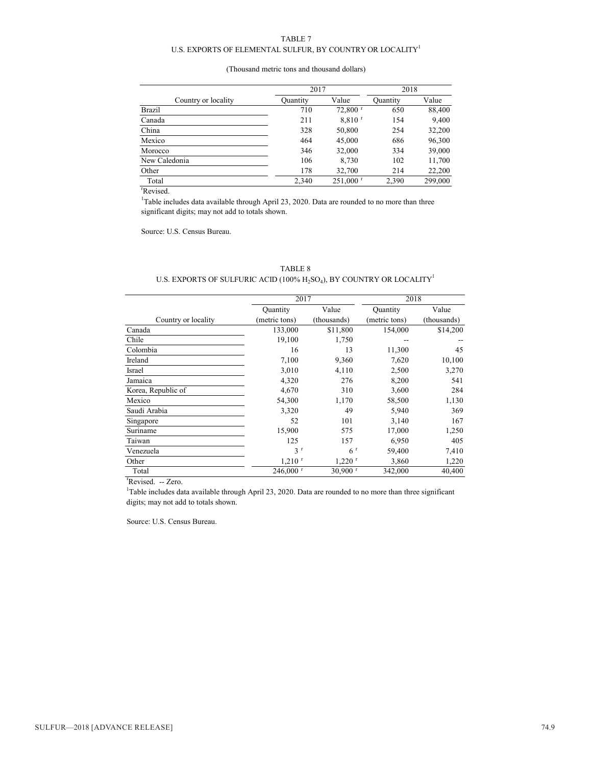#### TABLE 7

#### U.S. EXPORTS OF ELEMENTAL SULFUR, BY COUNTRY OR LOCALITY<sup>1</sup>

#### (Thousand metric tons and thousand dollars)

|                     | 2017     |                        | 2018     |         |
|---------------------|----------|------------------------|----------|---------|
| Country or locality | Quantity | Value                  | Quantity | Value   |
| <b>Brazil</b>       | 710      | $72,800$ <sup>r</sup>  | 650      | 88,400  |
| Canada              | 211      | 8,810 <sup>r</sup>     | 154      | 9,400   |
| China               | 328      | 50,800                 | 254      | 32,200  |
| Mexico              | 464      | 45,000                 | 686      | 96,300  |
| Morocco             | 346      | 32,000                 | 334      | 39,000  |
| New Caledonia       | 106      | 8,730                  | 102      | 11,700  |
| Other               | 178      | 32,700                 | 214      | 22,200  |
| Total               | 2,340    | $251,000$ <sup>r</sup> | 2.390    | 299,000 |

r Revised.

<sup>1</sup>Table includes data available through April 23, 2020. Data are rounded to no more than three significant digits; may not add to totals shown.

TABLE 8

Source: U.S. Census Bureau.

| U.S. EXPORTS OF SULFURIC ACID (100% $H_2SO_4$ ), BY COUNTRY OR LOCALITY <sup>1</sup> |                        |                       |                 |             |
|--------------------------------------------------------------------------------------|------------------------|-----------------------|-----------------|-------------|
|                                                                                      | 2017                   |                       | 2018            |             |
|                                                                                      | Quantity               | Value                 | <b>Quantity</b> | Value       |
| Country or locality                                                                  | (metric tons)          | (thousands)           | (metric tons)   | (thousands) |
| Canada                                                                               | 133,000                | \$11,800              | 154,000         | \$14,200    |
| Chile                                                                                | 19,100                 | 1,750                 |                 |             |
| Colombia                                                                             | 16                     | 13                    | 11,300          | 45          |
| Ireland                                                                              | 7,100                  | 9,360                 | 7,620           | 10,100      |
| Israel                                                                               | 3,010                  | 4,110                 | 2,500           | 3,270       |
| Jamaica                                                                              | 4,320                  | 276                   | 8,200           | 541         |
| Korea, Republic of                                                                   | 4,670                  | 310                   | 3,600           | 284         |
| Mexico                                                                               | 54,300                 | 1,170                 | 58,500          | 1,130       |
| Saudi Arabia                                                                         | 3,320                  | 49                    | 5,940           | 369         |
| Singapore                                                                            | 52                     | 101                   | 3,140           | 167         |
| Suriname                                                                             | 15,900                 | 575                   | 17,000          | 1,250       |
| Taiwan                                                                               | 125                    | 157                   | 6,950           | 405         |
| Venezuela                                                                            | 3 <sup>r</sup>         | 6 <sup>r</sup>        | 59,400          | 7,410       |
| Other                                                                                | $1,210$ <sup>r</sup>   | $1,220$ <sup>r</sup>  | 3,860           | 1,220       |
| Total                                                                                | $246,000$ <sup>r</sup> | $30,900$ <sup>r</sup> | 342,000         | 40,400      |

<sup>r</sup>Revised. -- Zero.

<sup>1</sup>Table includes data available through April 23, 2020. Data are rounded to no more than three significant digits; may not add to totals shown.

Source: U.S. Census Bureau.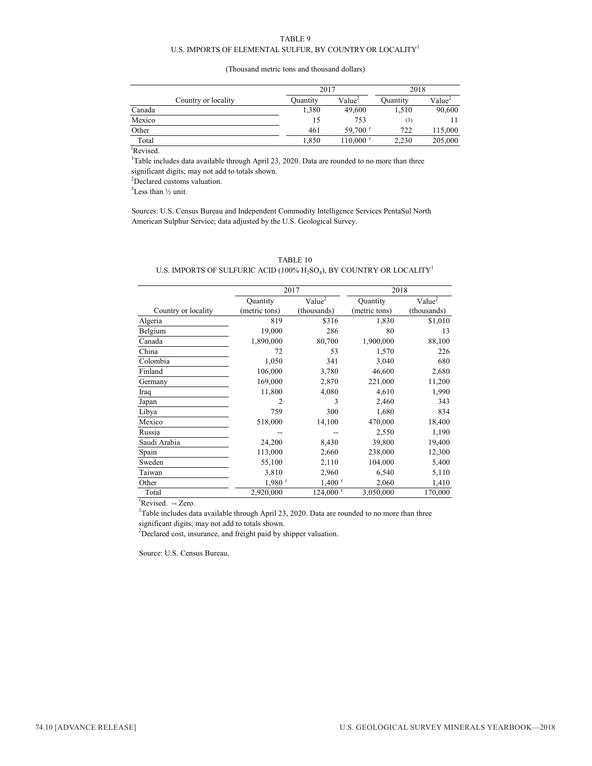#### TABLE 9 U.S. IMPORTS OF ELEMENTAL SULFUR, BY COUNTRY OR LOCALITY  $^{\rm l}$

#### (Thousand metric tons and thousand dollars)

|        |                     |          | 2017                   |          | 2018               |
|--------|---------------------|----------|------------------------|----------|--------------------|
|        | Country or locality | Ouantity | Value <sup>2</sup>     | Quantity | Value <sup>2</sup> |
| Canada |                     | 1,380    | 49,600                 | 1,510    | 90,600             |
| Mexico |                     | 15       | 753                    | (3)      |                    |
| Other  |                     | 461      | 59,700 $^{\rm r}$      | 722      | 115,000            |
| Total  |                     | 1,850    | $110,000$ <sup>r</sup> | 2.230    | 205,000            |

r Revised.

<sup>1</sup>Table includes data available through April 23, 2020. Data are rounded to no more than three significant digits; may not add to totals shown.

<sup>2</sup>Declared customs valuation.

 $3$ Less than  $\frac{1}{2}$  unit.

Sources: U.S. Census Bureau and Independent Commodity Intelligence Services PentaSul North American Sulphur Service; data adjusted by the U.S. Geological Survey.

#### TABLE 10

#### U.S. IMPORTS OF SULFURIC ACID (100%  $H_2SO_4$ ), BY COUNTRY OR LOCALITY<sup>1</sup>

|                     | 2017                 |                        |               | 2018                            |  |  |
|---------------------|----------------------|------------------------|---------------|---------------------------------|--|--|
|                     | Quantity             | Value <sup>2</sup>     | Quantity      | Value <sup><math>2</math></sup> |  |  |
| Country or locality | (metric tons)        | (thousands)            | (metric tons) | (thousands)                     |  |  |
| Algeria             | 819                  | \$316                  | 1,830         | \$1,010                         |  |  |
| Belgium             | 19,000               | 286                    | 80            | 13                              |  |  |
| Canada              | 1,890,000            | 80,700                 | 1,900,000     | 88,100                          |  |  |
| China               | 72                   | 53                     | 1,570         | 226                             |  |  |
| Colombia            | 1,050                | 341                    | 3,040         | 680                             |  |  |
| Finland             | 106,000              | 3,780                  | 46,600        | 2,680                           |  |  |
| Germany             | 169,000              | 2,870                  | 221,000       | 11,200                          |  |  |
| Iraq                | 11,800               | 4,080                  | 4,610         | 1,990                           |  |  |
| Japan               | 2                    | 3                      | 2,460         | 343                             |  |  |
| Libya               | 759                  | 300                    | 1,680         | 834                             |  |  |
| Mexico              | 518,000              | 14,100                 | 470,000       | 18,400                          |  |  |
| Russia              |                      |                        | 2,550         | 1,190                           |  |  |
| Saudi Arabia        | 24,200               | 8,430                  | 39,800        | 19,400                          |  |  |
| Spain               | 113,000              | 2,660                  | 238,000       | 12,300                          |  |  |
| Sweden              | 55,100               | 2,110                  | 104,000       | 5,400                           |  |  |
| Taiwan              | 3,810                | 2,960                  | 6,540         | 5,110                           |  |  |
| Other               | $1,980$ <sup>r</sup> | $1,400$ <sup>r</sup>   | 2,060         | 1,410                           |  |  |
| Total               | 2,920,000            | $124,000$ <sup>r</sup> | 3,050,000     | 170,000                         |  |  |

<sup>r</sup>Revised. -- Zero.

<sup>1</sup>Table includes data available through April 23, 2020. Data are rounded to no more than three significant digits; may not add to totals shown.

 $2$ Declared cost, insurance, and freight paid by shipper valuation.

Source: U.S. Census Bureau.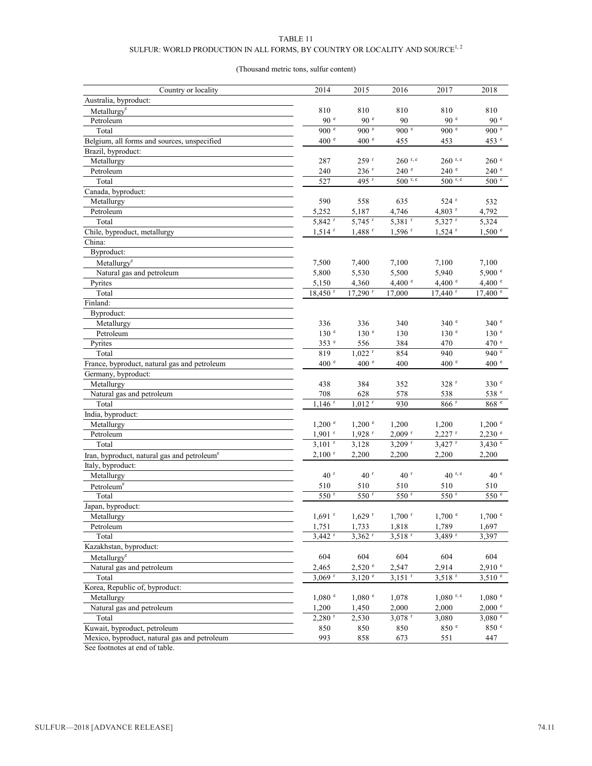#### TABLE 11

### SULFUR: WORLD PRODUCTION IN ALL FORMS, BY COUNTRY OR LOCALITY AND SOURCE  $^{1,\,2}$

#### (Thousand metric tons, sulfur content)

| Country or locality                                     | 2014                  | 2015                  | 2016                 | 2017                  | 2018               |
|---------------------------------------------------------|-----------------------|-----------------------|----------------------|-----------------------|--------------------|
| Australia, byproduct:                                   |                       |                       |                      |                       |                    |
| Metallurgy <sup>e</sup>                                 | 810                   | 810                   | 810                  | 810                   | 810                |
| Petroleum                                               | 90 <sup>°</sup>       | 90 <sup>°</sup>       | 90                   | 90 <sup>e</sup>       | 90 <sup>e</sup>    |
| Total                                                   | 900 $e$               | 900 <sup>e</sup>      | 900 e                | 900 e                 | 900 <sup>e</sup>   |
| Belgium, all forms and sources, unspecified             | 400 <sup>e</sup>      | 400 <sup>e</sup>      | 455                  | 453                   | 453 e              |
| Brazil, byproduct:                                      |                       |                       |                      |                       |                    |
| Metallurgy                                              | 287                   | 259 r                 | $260$ r, e           | $260$ r, e            | 260 e              |
| Petroleum                                               | 240                   | $236$ <sup>r</sup>    | 240 <sup>e</sup>     | 240 <sup>e</sup>      | 240 <sup>e</sup>   |
| Total                                                   | 527                   | $495$ <sup>r</sup>    | $500$ r, e           | $500$ r, e            | 500 <sup>e</sup>   |
| Canada, byproduct:                                      |                       |                       |                      |                       |                    |
| Metallurgy                                              | 590                   | 558                   | 635                  | $524$ $r$             | 532                |
| Petroleum                                               | 5,252                 | 5,187                 | 4,746                | $4,803$ <sup>r</sup>  | 4,792              |
| Total                                                   | 5,842 r               | $5,745$ <sup>r</sup>  | $5,381$ <sup>r</sup> | 5,327 r               | 5,324              |
| Chile, byproduct, metallurgy                            | $1,514$ <sup>r</sup>  | $1,488$ <sup>r</sup>  | $1,596$ <sup>r</sup> | $1,524$ <sup>r</sup>  | $1,500$ $\degree$  |
| China:                                                  |                       |                       |                      |                       |                    |
| Byproduct:                                              |                       |                       |                      |                       |                    |
| Metallurgy <sup>e</sup>                                 | 7,500                 | 7,400                 | 7,100                | 7,100                 | 7,100              |
| Natural gas and petroleum                               | 5,800                 | 5,530                 | 5,500                | 5,940                 | 5,900 °            |
| Pyrites                                                 | 5,150                 | 4,360                 | 4,400 $^{\circ}$     | 4,400 $^{\circ}$      | 4,400 $^{\circ}$   |
| Total                                                   | $18,450$ <sup>r</sup> | $17,290$ <sup>r</sup> | 17,000               | $17,440$ <sup>r</sup> | $17,400$ $\degree$ |
| Finland:                                                |                       |                       |                      |                       |                    |
| Byproduct:                                              |                       |                       |                      |                       |                    |
| Metallurgy                                              | 336                   | 336                   | 340                  | 340 <sup>°</sup>      | 340 <sup>e</sup>   |
| Petroleum                                               | 130 <sup>e</sup>      | 130 <sup>e</sup>      | 130                  | 130 <sup>e</sup>      | 130 <sup>e</sup>   |
| Pyrites                                                 | 353 °                 | 556                   | 384                  | 470                   | 470 °              |
| Total                                                   | 819                   | $1,022$ <sup>r</sup>  | 854                  | 940                   | 940 $^{\circ}$     |
| France, byproduct, natural gas and petroleum            | 400 <sup>e</sup>      | 400 <sup>e</sup>      | 400                  | 400 <sup>e</sup>      | 400 <sup>e</sup>   |
| Germany, byproduct:                                     |                       |                       |                      |                       |                    |
| Metallurgy                                              | 438                   | 384                   | 352                  | 328r                  | 330 e              |
| Natural gas and petroleum                               | 708                   | 628                   | 578                  | 538                   | 538 °              |
| Total                                                   | $1,146$ <sup>r</sup>  | $1,012$ <sup>r</sup>  | 930                  | $866$ $^{\rm r}$      | 868 °              |
| India, byproduct:                                       |                       |                       |                      |                       |                    |
| Metallurgy                                              | $1,200$ $\degree$     | $1,200$ $\degree$     | 1,200                | 1,200                 | $1,200$ $\degree$  |
| Petroleum                                               | $1,901$ <sup>r</sup>  | $1,928$ <sup>r</sup>  | $2,009$ <sup>r</sup> | $2,227$ <sup>r</sup>  | $2,230$ $^{\circ}$ |
| Total                                                   | $3,101$ <sup>r</sup>  | 3,128                 | $3,209$ <sup>r</sup> | $3,427$ <sup>r</sup>  | 3,430 °            |
| Iran, byproduct, natural gas and petroleum <sup>e</sup> | $2,100$ <sup>r</sup>  | 2,200                 | 2,200                | 2,200                 | 2,200              |
| Italy, byproduct:                                       |                       |                       |                      |                       |                    |
| Metallurgy                                              | 40 <sup>r</sup>       | 40 <sup>r</sup>       | 40 <sup>r</sup>      | $40^{r, e}$           | 40 <sup>e</sup>    |
| Petroleum <sup>e</sup>                                  | 510                   | 510                   | 510                  | 510                   | 510                |
| Total                                                   | 550 <sup>r</sup>      | 550 <sup>r</sup>      | $550$ <sup>r</sup>   | 550 r                 | 550 e              |
| Japan, byproduct:                                       |                       |                       |                      |                       |                    |
| Metallurgy                                              | $1,691$ <sup>r</sup>  | $1,629$ $^{\rm r}$    | $1,700$ <sup>r</sup> | $1{,}700$ $^{\circ}$  | 1,700 °            |
| Petroleum                                               | 1,751                 | 1,733                 | 1,818                | 1,789                 | 1,697              |
| Total                                                   | $3,442$ <sup>r</sup>  | $3,362$ <sup>r</sup>  | $3,518$ <sup>r</sup> | $3,489$ <sup>r</sup>  | 3,397              |
| Kazakhstan, byproduct:                                  |                       |                       |                      |                       |                    |
| Metallurgy <sup>e</sup>                                 | 604                   | 604                   | 604                  | 604                   | 604                |
| Natural gas and petroleum                               | 2,465                 | $2,520$ $\degree$     | 2,547                | 2,914                 | 2.910 e            |
| Total                                                   | $3.069$ <sup>r</sup>  | $3,120$ $\degree$     | $3,151$ <sup>r</sup> | $3,518$ <sup>r</sup>  | $3,510$ $\degree$  |
| Korea, Republic of, byproduct:                          |                       |                       |                      |                       |                    |
| Metallurgy                                              | 1,080 °               | 1,080 °               | 1,078                | $1,080$ r, e          | 1,080 °            |
| Natural gas and petroleum                               | 1,200                 | 1,450                 | 2,000                | 2,000                 | 2,000 °            |
| Total                                                   | $2,280$ <sup>r</sup>  | 2,530                 | $3,078$ <sup>r</sup> | 3,080                 | 3,080 °            |
| Kuwait, byproduct, petroleum                            | 850                   | 850                   | 850                  | 850 e                 | 850 °              |
| Mexico, byproduct, natural gas and petroleum            | 993                   | 858                   | 673                  | 551                   | 447                |

See footnotes at end of table.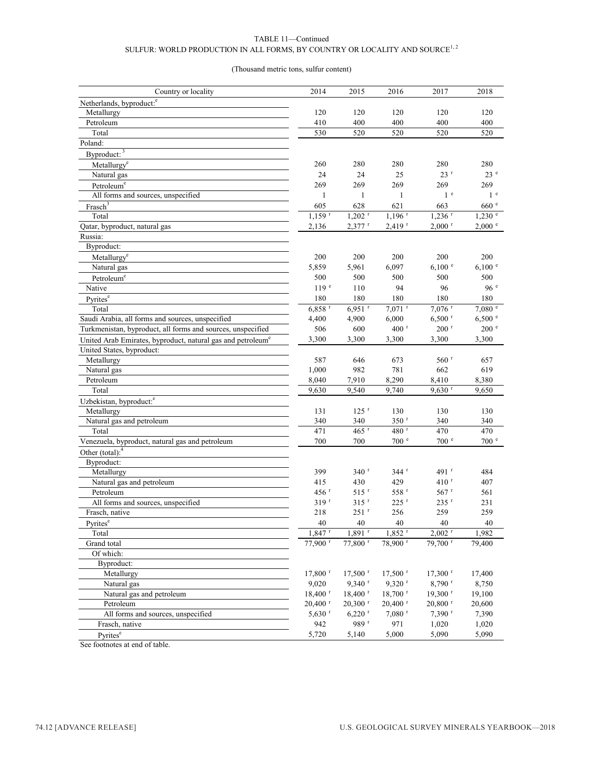#### TABLE 11—Continued SULFUR: WORLD PRODUCTION IN ALL FORMS, BY COUNTRY OR LOCALITY AND SOURCE  $^{1,\,2}$

#### (Thousand metric tons, sulfur content)

| Country or locality                                                     | 2014                  | 2015                      | 2016                    | 2017                  | 2018                    |
|-------------------------------------------------------------------------|-----------------------|---------------------------|-------------------------|-----------------------|-------------------------|
| Netherlands, byproduct: <sup>e</sup>                                    |                       |                           |                         |                       |                         |
| Metallurgy                                                              | 120                   | 120                       | 120                     | 120                   | 120                     |
| Petroleum                                                               | 410                   | 400                       | 400                     | 400                   | 400                     |
| Total                                                                   | 530                   | 520                       | 520                     | 520                   | 520                     |
| Poland:                                                                 |                       |                           |                         |                       |                         |
| Byproduct: 3                                                            |                       |                           |                         |                       |                         |
| Metallurgy <sup>e</sup>                                                 | 260                   | 280                       | 280                     | 280                   | 280                     |
| Natural gas                                                             | 24                    | 24                        | 25                      | 23r                   | 23e                     |
| Petroleum <sup>e</sup>                                                  | 269                   | 269                       | 269                     | 269                   | 269                     |
| All forms and sources, unspecified                                      | $\mathbf{1}$          | $\mathbf{1}$              | $\mathbf{1}$            | 1 <sup>e</sup>        | 1 <sup>e</sup>          |
| Frasch <sup>3</sup>                                                     | 605                   | 628                       | 621                     | 663                   | 660 e                   |
| Total                                                                   | $1,159$ <sup>r</sup>  | $1,202$ <sup>r</sup>      | $1,196$ <sup>r</sup>    | $1,236$ <sup>r</sup>  | $1,230$ $\degree$       |
| Qatar, byproduct, natural gas                                           | 2,136                 | $2,377$ <sup>r</sup>      | $2,419$ <sup>r</sup>    | $2,000$ <sup>r</sup>  | 2,000 °                 |
| Russia:                                                                 |                       |                           |                         |                       |                         |
| Byproduct:                                                              |                       |                           |                         |                       |                         |
| Metallurgy <sup>e</sup>                                                 | 200                   | 200                       | 200                     | 200                   | 200                     |
| Natural gas                                                             | 5,859                 | 5,961                     | 6,097                   | 6,100 °               | 6,100 °                 |
| Petroleum <sup>e</sup>                                                  | 500                   | 500                       | 500                     | 500                   | 500                     |
| Native                                                                  | 119 <sup>e</sup>      | 110                       | 94                      | 96                    | 96 <sup>e</sup>         |
| Pyrites <sup>e</sup>                                                    | 180                   | 180                       | 180                     | 180                   | 180                     |
| Total                                                                   | $6,858$ <sup>r</sup>  | $6,951$ <sup>r</sup>      | $7,071$ <sup>r</sup>    | 7,076 <sup>r</sup>    | 7,080 °                 |
| Saudi Arabia, all forms and sources, unspecified                        | 4,400                 | 4,900                     | 6,000                   | $6,500$ <sup>r</sup>  | 6,500 °                 |
| Turkmenistan, byproduct, all forms and sources, unspecified             | 506                   | 600                       | 400 $r$                 | $200$ <sup>r</sup>    | 200 e                   |
|                                                                         | 3,300                 | 3,300                     | 3,300                   | 3,300                 | 3,300                   |
| United Arab Emirates, byproduct, natural gas and petroleum <sup>e</sup> |                       |                           |                         |                       |                         |
| United States, byproduct:                                               |                       |                           |                         |                       |                         |
| Metallurgy<br>Natural gas                                               | 587                   | 646                       | 673                     | $560$ <sup>r</sup>    | 657                     |
| Petroleum                                                               | 1,000<br>8,040        | 982<br>7,910              | 781<br>8,290            | 662<br>8,410          | 619<br>8,380            |
| Total                                                                   | 9,630                 |                           | 9,740                   | $9,630$ <sup>r</sup>  |                         |
|                                                                         |                       | 9,540                     |                         |                       | 9,650                   |
| Uzbekistan, byproduct: <sup>e</sup>                                     |                       |                           |                         |                       |                         |
| Metallurgy                                                              | 131                   | $125$ <sup>r</sup>        | 130<br>350 <sup>r</sup> | 130                   | 130                     |
| Natural gas and petroleum                                               | 340                   | 340<br>$465$ <sup>r</sup> | 480 <sup>r</sup>        | 340                   | 340                     |
| Total                                                                   | 471                   |                           |                         | 470<br>700 e          | 470<br>700 <sup>e</sup> |
| Venezuela, byproduct, natural gas and petroleum                         | 700                   | 700                       | 700 <sup>°</sup>        |                       |                         |
| Other (total): $4$                                                      |                       |                           |                         |                       |                         |
| Byproduct:                                                              |                       |                           |                         |                       |                         |
| Metallurgy                                                              | 399                   | 340 <sup>r</sup>          | 344r                    | 491 <sup>r</sup>      | 484                     |
| Natural gas and petroleum                                               | 415                   | 430                       | 429                     | 410 r                 | 407                     |
| Petroleum                                                               | 456 <sup>r</sup>      | $515$ <sup>r</sup>        | 558 r                   | $567$ <sup>r</sup>    | 561                     |
| All forms and sources, unspecified                                      | $319$ <sup>r</sup>    | $315$ <sup>r</sup>        | $225$ <sup>r</sup>      | 235 r                 | 231                     |
| Frasch, native                                                          | 218                   | $251$ <sup>r</sup>        | 256                     | 259                   | 259                     |
| Pyrites <sup>e</sup>                                                    | $40\,$                | $40\,$                    | $40\,$                  | $40\,$                | 40                      |
| Total                                                                   | $1,847$ <sup>r</sup>  | $1,891$ <sup>r</sup>      | $1,852$ <sup>r</sup>    | $2,002$ <sup>r</sup>  | 1,982                   |
| Grand total                                                             | $77,900$ <sup>r</sup> | $77,800$ <sup>r</sup>     | 78,900 <sup>r</sup>     | $79,700$ <sup>r</sup> | 79,400                  |
| Of which:                                                               |                       |                           |                         |                       |                         |
| Byproduct:                                                              |                       |                           |                         |                       |                         |
| Metallurgy                                                              | $17,800$ <sup>r</sup> | $17,500$ <sup>r</sup>     | $17,500$ <sup>r</sup>   | $17,300$ <sup>r</sup> | 17,400                  |
| Natural gas                                                             | 9,020                 | $9,340$ <sup>r</sup>      | $9,320$ <sup>r</sup>    | 8,790 r               | 8,750                   |
| Natural gas and petroleum                                               | $18,400$ <sup>r</sup> | $18,400$ <sup>r</sup>     | $18,700$ <sup>r</sup>   | $19,300$ <sup>r</sup> | 19,100                  |
| Petroleum                                                               | $20,400$ <sup>r</sup> | $20,300$ <sup>r</sup>     | $20,400$ <sup>r</sup>   | $20,800$ <sup>r</sup> | 20,600                  |
| All forms and sources, unspecified                                      | $5,630$ <sup>r</sup>  | $6,220$ <sup>r</sup>      | $7,080$ <sup>r</sup>    | 7,390 r               | 7,390                   |
| Frasch, native                                                          | 942                   | 989 r                     | 971                     | 1,020                 | 1,020                   |
| Pyrites <sup>e</sup>                                                    | 5,720                 | 5,140                     | 5,000                   | 5,090                 | 5,090                   |

See footnotes at end of table.